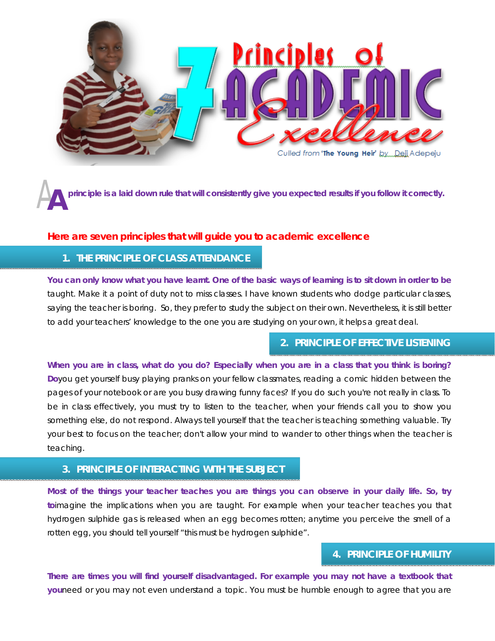

A**principle is a laid down rule that will consistently give you expected results if you follow it correctly. A**

#### **Here are seven principles that will guide you to academic excellence**

### **1. THE PRINCIPLE OF CLASS ATTENDANCE**

**You can only know what you have learnt. One of the basic ways of learning is to sit down in order to be** taught. Make it a point of duty not to miss classes. I have known students who dodge particular classes, saying the teacher is boring. So, they prefer to study the subject on their own. Nevertheless, it is still better to add your teachers' knowledge to the one you are studying on your own, it helps a great deal.

# **2. PRINCIPLE OF EFFECTIVE LISTENING**

**When you are in class, what do you do? Especially when you are in a class that you think is boring? Do**you get yourself busy playing pranks on your fellow classmates, reading a comic hidden between the pages of your notebook or are you busy drawing funny faces? If you do such you're not really in class. To be in class effectively, you must try to listen to the teacher, when your friends call you to show you something else, do not respond. Always tell yourself that the teacher is teaching something valuable. Try your best to focus on the teacher; don't allow your mind to wander to other things when the teacher is teaching.

# **3. PRINCIPLE OF INTERACTING WITH THE SUBJECT**

**Most of the things your teacher teaches you are things you can observe in your daily life. So, try to**imagine the implications when you are taught. For example when your teacher teaches you that hydrogen sulphide gas is released when an egg becomes rotten; anytime you perceive the smell of a rotten egg, you should tell yourself "this must be hydrogen sulphide".

# **4. PRINCIPLE OF HUMILITY**

**There are times you will find yourself disadvantaged. For example you may not have a textbook that you**need or you may not even understand a topic. You must be humble enough to agree that you are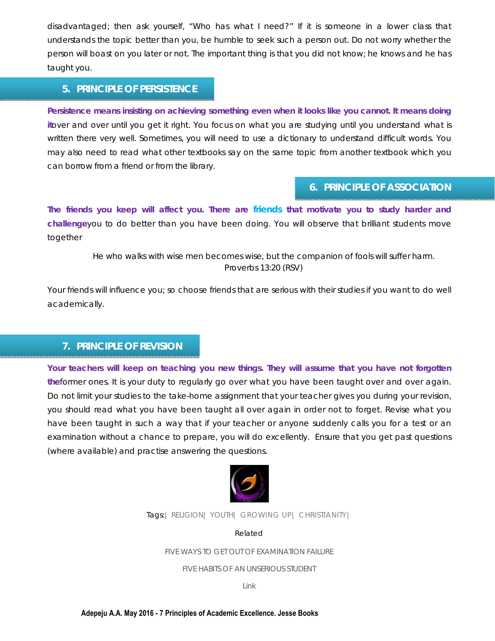disadvantaged; then ask yourself, "Who has what I need?" If it is someone in a lower class that understands the topic better than you, be humble to seek such a person out. Do not worry whether the person will boast on you later or not. The important thing is that you did not know; he knows and he has taught you.

### **5. PRINCIPLE OF PERSISTENCE**

**Persistence means insisting on achieving something even when it looks like you cannot. It means doing it**over and over until you get it right. You focus on what you are studying until you understand what is written there very well. Sometimes, you will need to use a dictionary to understand difficult words. You may also need to read what other textbooks say on the same topic from another textbook which you can borrow from a friend or from the library.

#### **6. PRINCIPLE OF ASSOCIATION**

**The friends you keep will affect you. There are [friends](http://www.jessethrust.com/five-keys-to-friendship-appraisal.pdf) that motivate you to study harder and challenge**you to do better than you have been doing. You will observe that brilliant students move together

> *He who walks with wise men becomes wise, but the companion of fools will suffer harm. Proverbs 13:20 (RSV)*

Your friends will influence you; so choose friends that are serious with their studies if you want to do well academically.

#### **7. PRINCIPLE OF REVISION**

**Your teachers will keep on teaching you new things. They will assume that you have not forgotten the**former ones. It is your duty to regularly go over what you have been taught over and over again. Do not limit your studies to the take-home assignment that your teacher gives you during your revision, you should read what you have been taught all over again in order not to forget. Revise what you have been taught in such a way that if your teacher or anyone suddenly calls you for a test or an examination without a chance to prepare, you will do excellently. Ensure that you get past questions (where available) and practise answering the questions.



Tags:| RELIGION| YOUTH| GROWING UP| CHRISTIANITY|

*Related*

[FIVE WAYS TO GET OUT OF EXAMINATION FAILURE](http://www.jessethrust.com/five-ways-to-get-out-of-examination-failure.pdf)

[FIVE HABITS OF AN UNSERIOUS STUDENT](http://www.jessethrust.com/five-habits-of-an-unserious-student.pdf)

Link